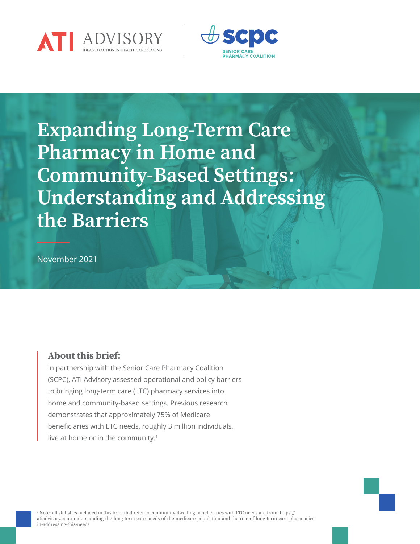



Expanding Long-Term Care Pharmacy in Home and Community-Based Settings: Understanding and Addressing the Barriers

November 2021

## About this brief:

In partnership with the Senior Care Pharmacy Coalition (SCPC), ATI Advisory assessed operational and policy barriers to bringing long-term care (LTC) pharmacy services into home and community-based settings. Previous research demonstrates that approximately 75% of Medicare beneficiaries with LTC needs, roughly 3 million individuals, live at home or in the community.<sup>1</sup>

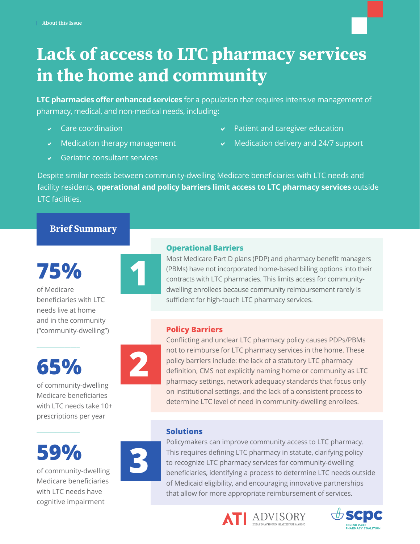# Lack of access to LTC pharmacy services in the home and community

**LTC pharmacies offer enhanced services** for a population that requires intensive management of pharmacy, medical, and non-medical needs, including:

- $\sqrt{\phantom{a}}$  Care coordination
- $\vee$  Medication therapy management
- Patient and caregiver education
- $\vee$  Medication delivery and 24/7 support

 $\sqrt{ }$  Geriatric consultant services

Despite similar needs between community-dwelling Medicare beneficiaries with LTC needs and facility residents, **operational and policy barriers limit access to LTC pharmacy services** outside LTC facilities.

# Brief Summary

**75%** of Medicare beneficiaries with LTC needs live at home and in the community ("community-dwelling")

# **65%**

 $\overline{\phantom{a}}$  , where  $\overline{\phantom{a}}$ 

of community-dwelling Medicare beneficiaries with LTC needs take 10+ prescriptions per year

**59%**

 $\overline{\phantom{a}}$  , where  $\overline{\phantom{a}}$ 

of community-dwelling Medicare beneficiaries with LTC needs have cognitive impairment



## **Operational Barriers**

Most Medicare Part D plans (PDP) and pharmacy benefit managers (PBMs) have not incorporated home-based billing options into their contracts with LTC pharmacies. This limits access for communitydwelling enrollees because community reimbursement rarely is sufficient for high-touch LTC pharmacy services.

# **Policy Barriers**



Conflicting and unclear LTC pharmacy policy causes PDPs/PBMs not to reimburse for LTC pharmacy services in the home. These policy barriers include: the lack of a statutory LTC pharmacy definition, CMS not explicitly naming home or community as LTC pharmacy settings, network adequacy standards that focus only on institutional settings, and the lack of a consistent process to determine LTC level of need in community-dwelling enrollees.

# **Solutions**



Policymakers can improve community access to LTC pharmacy. This requires defining LTC pharmacy in statute, clarifying policy to recognize LTC pharmacy services for community-dwelling beneficiaries, identifying a process to determine LTC needs outside of Medicaid eligibility, and encouraging innovative partnerships that allow for more appropriate reimbursement of services.



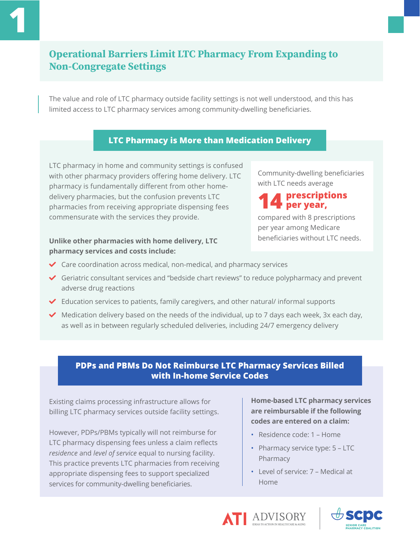# Operational Barriers Limit LTC Pharmacy From Expanding to Non-Congregate Settings

The value and role of LTC pharmacy outside facility settings is not well understood, and this has limited access to LTC pharmacy services among community-dwelling beneficiaries.

# **LTC Pharmacy is More than Medication Delivery**

LTC pharmacy in home and community settings is confused with other pharmacy providers offering home delivery. LTC pharmacy is fundamentally different from other homedelivery pharmacies, but the confusion prevents LTC pharmacies from receiving appropriate dispensing fees commensurate with the services they provide.

### **Unlike other pharmacies with home delivery, LTC pharmacy services and costs include:**

Community-dwelling beneficiaries with LTC needs average

## **14 prescriptions per year,**

compared with 8 prescriptions per year among Medicare beneficiaries without LTC needs.

- $\triangleleft$  Care coordination across medical, non-medical, and pharmacy services
- $\blacktriangledown$  Geriatric consultant services and "bedside chart reviews" to reduce polypharmacy and prevent adverse drug reactions
- $\blacktriangleright$  Education services to patients, family caregivers, and other natural/ informal supports
- $\blacktriangledown$  Medication delivery based on the needs of the individual, up to 7 days each week, 3x each day, as well as in between regularly scheduled deliveries, including 24/7 emergency delivery

## **PDPs and PBMs Do Not Reimburse LTC Pharmacy Services Billed with In-home Service Codes**

Existing claims processing infrastructure allows for billing LTC pharmacy services outside facility settings.

However, PDPs/PBMs typically will not reimburse for LTC pharmacy dispensing fees unless a claim reflects *residence* and *level of service* equal to nursing facility. This practice prevents LTC pharmacies from receiving appropriate dispensing fees to support specialized services for community-dwelling beneficiaries.

**Home-based LTC pharmacy services are reimbursable if the following codes are entered on a claim:** 

- Residence code: 1 Home
- Pharmacy service type: 5 LTC Pharmacy
- Level of service: 7 Medical at Home



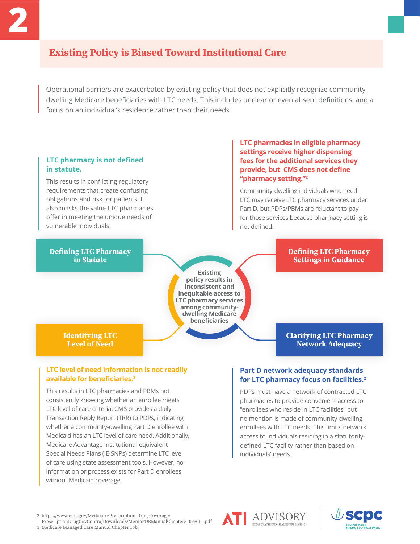# Existing Policy is Biased Toward Institutional Care

Operational barriers are exacerbated by existing policy that does not explicitly recognize communitydwelling Medicare beneficiaries with LTC needs. This includes unclear or even absent definitions, and a focus on an individual's residence rather than their needs.

#### **LTC pharmacy is not defined in statute.**

This results in conflicting regulatory requirements that create confusing obligations and risk for patients. It also masks the value LTC pharmacies offer in meeting the unique needs of vulnerable individuals.

Defining LTC Pharmacy in Statute

#### **LTC pharmacies in eligible pharmacy settings receive higher dispensing fees for the additional services they provide, but CMS does not define "pharmacy setting."<sup>2</sup>**

Community-dwelling individuals who need LTC may receive LTC pharmacy services under Part D, but PDPs/PBMs are reluctant to pay for those services because pharmacy setting is not defined.

**Existing policy results in inconsistent and inequitable access to LTC pharmacy services among communitydwelling Medicare beneficiaries**

#### Defining LTC Pharmacy Settings in Guidance

Identifying LTC Level of Need

#### **LTC level of need information is not readily available for beneficiaries.<sup>3</sup>**

This results in LTC pharmacies and PBMs not consistently knowing whether an enrollee meets LTC level of care criteria. CMS provides a daily Transaction Reply Report (TRR) to PDPs, indicating whether a community-dwelling Part D enrollee with Medicaid has an LTC level of care need. Additionally, Medicare Advantage Institutional-equivalent Special Needs Plans (IE-SNPs) determine LTC level of care using state assessment tools. However, no information or process exists for Part D enrollees without Medicaid coverage.

# Network Adequacy

Clarifying LTC Pharmacy

### **Part D network adequacy standards for LTC pharmacy focus on facilities.<sup>2</sup>**

PDPs must have a network of contracted LTC pharmacies to provide convenient access to "enrollees who reside in LTC facilities" but no mention is made of community-dwelling enrollees with LTC needs. This limits network access to individuals residing in a statutorilydefined LTC facility rather than based on individuals' needs.

2 https://www.cms.gov/Medicare/Prescription-Drug-Coverage/

PrescriptionDrugCovContra/Downloads/MemoPDBManualChapter5\_093011.pdf

3 Medicare Managed Care Manual Chapter 16b



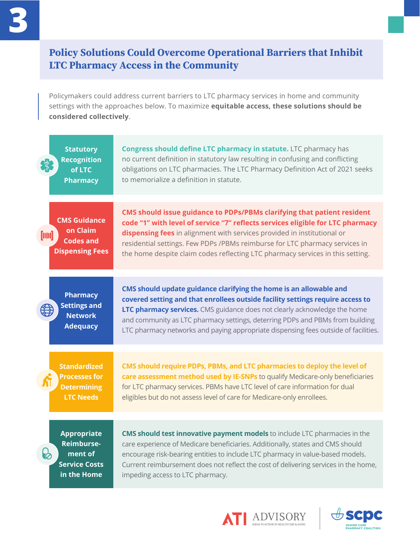# Policy Solutions Could Overcome Operational Barriers that Inhibit LTC Pharmacy Access in the Community

Policymakers could address current barriers to LTC pharmacy services in home and community settings with the approaches below. To maximize **equitable access, these solutions should be considered collectively**.

| <b>Statutory</b><br><b>Recognition</b><br>$\mathbb{C}^{\star}$<br>of LTC<br><b>Pharmacy</b>     | <b>Congress should define LTC pharmacy in statute.</b> LTC pharmacy has<br>no current definition in statutory law resulting in confusing and conflicting<br>obligations on LTC pharmacies. The LTC Pharmacy Definition Act of 2021 seeks<br>to memorialize a definition in statute.                                                                                                                       |
|-------------------------------------------------------------------------------------------------|-----------------------------------------------------------------------------------------------------------------------------------------------------------------------------------------------------------------------------------------------------------------------------------------------------------------------------------------------------------------------------------------------------------|
| <b>CMS Guidance</b><br>on Claim<br>[iiii]<br><b>Codes and</b><br><b>Dispensing Fees</b>         | CMS should issue guidance to PDPs/PBMs clarifying that patient resident<br>code "1" with level of service "7" reflects services eligible for LTC pharmacy<br>dispensing fees in alignment with services provided in institutional or<br>residential settings. Few PDPs /PBMs reimburse for LTC pharmacy services in<br>the home despite claim codes reflecting LTC pharmacy services in this setting.     |
| <b>Pharmacy</b><br><b>Settings and</b><br><b>Network</b><br><b>Adequacy</b>                     | CMS should update guidance clarifying the home is an allowable and<br>covered setting and that enrollees outside facility settings require access to<br>LTC pharmacy services. CMS guidance does not clearly acknowledge the home<br>and community as LTC pharmacy settings, deterring PDPs and PBMs from building<br>LTC pharmacy networks and paying appropriate dispensing fees outside of facilities. |
| <b>Standardized</b><br><b>Processes for</b><br><b>Determining</b><br><b>LTC Needs</b>           | CMS should require PDPs, PBMs, and LTC pharmacies to deploy the level of<br>care assessment method used by IE-SNPs to qualify Medicare-only beneficiaries<br>for LTC pharmacy services. PBMs have LTC level of care information for dual<br>eligibles but do not assess level of care for Medicare-only enrollees.                                                                                        |
| <b>Appropriate</b><br><b>Reimburse-</b><br>မြ<br>ment of<br><b>Service Costs</b><br>in the Home | <b>CMS should test innovative payment models</b> to include LTC pharmacies in the<br>care experience of Medicare beneficiaries. Additionally, states and CMS should<br>encourage risk-bearing entities to include LTC pharmacy in value-based models.<br>Current reimbursement does not reflect the cost of delivering services in the home,<br>impeding access to LTC pharmacy.                          |